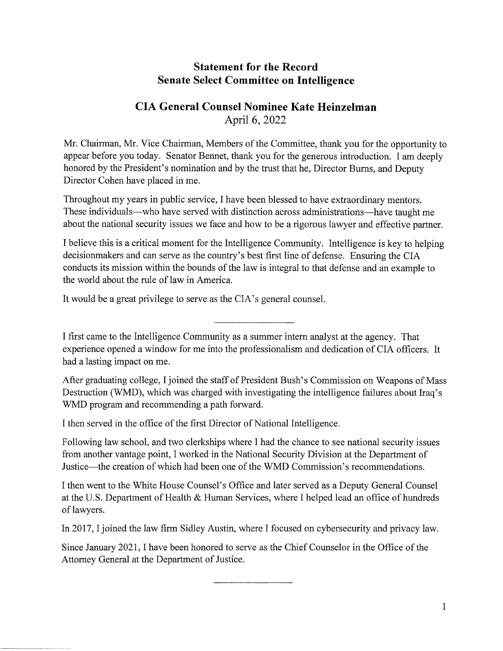## **Statement for the Record Senate Select Committee on Intelligence**

## **CIA General Counsel Nominee Kate Heinzelman**  April 6, 2022

Mr. Chairman, Mr. Vice Chairman, Members of the Committee, thank you for the opportunity to appear before you today. Senator Bennet, thank you for the generous introduction. I am deeply honored by the President's nomination and by the trust that he, Director Bums, and Deputy Director Cohen have placed in me.

Throughout my years in public service, I have been blessed to have extraordinary mentors. These individuals—who have served with distinction across administrations—have taught me about the national security issues we face and how to be a rigorous lawyer and effective partner.

I believe this is a critical moment for the Intelligence Community. Intelligence is key to helping decisionmakers and can serve as the country's best first line of defense. Ensuring the CIA conducts its mission within the bounds of the law is integral to that defense and an example to the world about the rule of law in America.

It would be a great privilege to serve as the CIA's general counsel.

I first came to the Intelligence Community as a summer intern analyst at the agency. That experience opened a window for me into the professionalism and dedication of CIA officers. It had a lasting impact on me.

After graduating college, I joined the staff of President Bush's Commission on Weapons of Mass Destruction (WMD), which was charged with investigating the intelligence failures about Iraq's WMD program and recommending a path forward.

I then served in the office of the first Director of National Intelligence.

Following law school, and two clerkships where I had the chance to see national security issues from another vantage point, I worked in the National Security Division at the Department of Justice-the creation of which had been one of the WMD Commission's recommendations.

I then went to the White House Counsel's Office and later served as a Deputy General Counsel at the U.S. Department of Health & Human Services, where I helped lead an office of hundreds of lawyers.

In 2017, I joined the law firm Sidley Austin, where I focused on cybersecurity and privacy law.

Since January 2021, I have been honored to serve as the Chief Counselor in the Office of the Attorney General at the Department of Justice.

1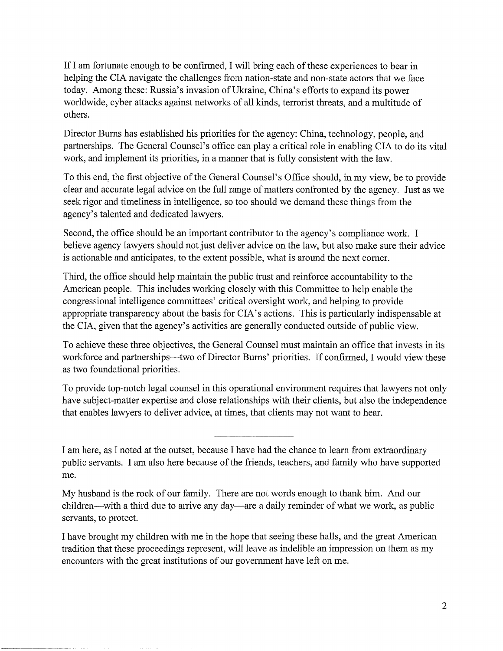If I am fortunate enough to be confirmed, I will bring each of these experiences to bear in helping the CIA navigate the challenges from nation-state and non-state actors that we face today. Among these: Russia's invasion of Ukraine, China's efforts to expand its power worldwide, cyber attacks against networks of all kinds, terrorist threats, and a multitude of others.

Director Burns has established his priorities for the agency: China, technology, people, and partnerships. The General Counsel's office can play a critical role in enabling CIA to do its vital work, and implement its priorities, in a manner that is fully consistent with the law.

To this end, the first objective of the General Counsel's Office should, in my view, be to provide clear and accurate legal advice on the full range of matters confronted by the agency. Just as we seek rigor and timeliness in intelligence, so too should we demand these things from the agency's talented and dedicated lawyers.

Second, the office should be an important contributor to the agency's compliance work. I believe agency lawyers should not just deliver advice on the law, but also make sure their advice is actionable and anticipates, to the extent possible, what is around the next corner.

Third, the office should help maintain the public trust and reinforce accountability to the American people. This includes working closely with this Committee to help enable the congressional intelligence committees' critical oversight work, and helping to provide appropriate transparency about the basis for CIA's actions. This is particularly indispensable at the CIA, given that the agency's activities are generally conducted outside of public view.

To achieve these three objectives, the General Counsel must maintain an office that invests in its workforce and partnerships—two of Director Burns' priorities. If confirmed, I would view these as two foundational priorities.

To provide top-notch legal counsel in this operational environment requires that lawyers not only have subject-matter expertise and close relationships with their clients, but also the independence that enables lawyers to deliver advice, at times, that clients may not want to hear.

I am here, as I noted at the outset, because I have had the chance to learn from extraordinary public servants. I am also here because of the friends, teachers, and family who have supported me.

My husband is the rock of our family. There are not words enough to thank him. And our children—with a third due to arrive any day—are a daily reminder of what we work, as public servants, to protect.

I have brought my children with me in the hope that seeing these halls, and the great American tradition that these proceedings represent, will leave as indelible an impression on them as my encounters with the great institutions of our government have left on me.